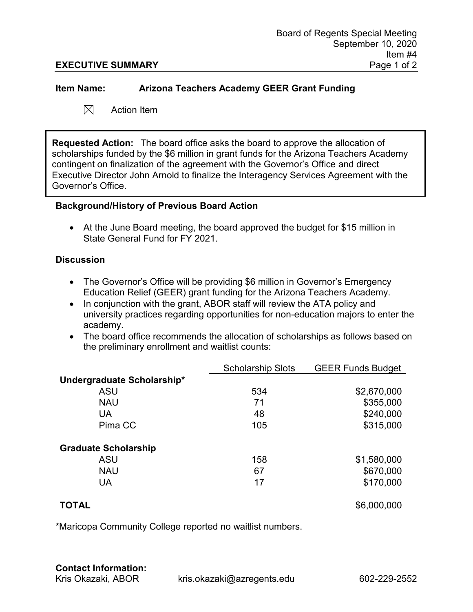### **Item Name: Arizona Teachers Academy GEER Grant Funding**

 $\boxtimes$ Action Item

**Requested Action:** The board office asks the board to approve the allocation of scholarships funded by the \$6 million in grant funds for the Arizona Teachers Academy contingent on finalization of the agreement with the Governor's Office and direct Executive Director John Arnold to finalize the Interagency Services Agreement with the Governor's Office.

### **Background/History of Previous Board Action**

• At the June Board meeting, the board approved the budget for \$15 million in State General Fund for FY 2021.

### **Discussion**

- The Governor's Office will be providing \$6 million in Governor's Emergency Education Relief (GEER) grant funding for the Arizona Teachers Academy.
- In conjunction with the grant, ABOR staff will review the ATA policy and university practices regarding opportunities for non-education majors to enter the academy.
- The board office recommends the allocation of scholarships as follows based on the preliminary enrollment and waitlist counts:

|                             | <b>Scholarship Slots</b> | <b>GEER Funds Budget</b> |
|-----------------------------|--------------------------|--------------------------|
| Undergraduate Scholarship*  |                          |                          |
| ASU                         | 534                      | \$2,670,000              |
| <b>NAU</b>                  | 71                       | \$355,000                |
| UA                          | 48                       | \$240,000                |
| Pima CC                     | 105                      | \$315,000                |
| <b>Graduate Scholarship</b> |                          |                          |
| <b>ASU</b>                  | 158                      | \$1,580,000              |
| <b>NAU</b>                  | 67                       | \$670,000                |
| UA                          | 17                       | \$170,000                |
| TOTAL                       |                          | \$6,000,000              |

\*Maricopa Community College reported no waitlist numbers.